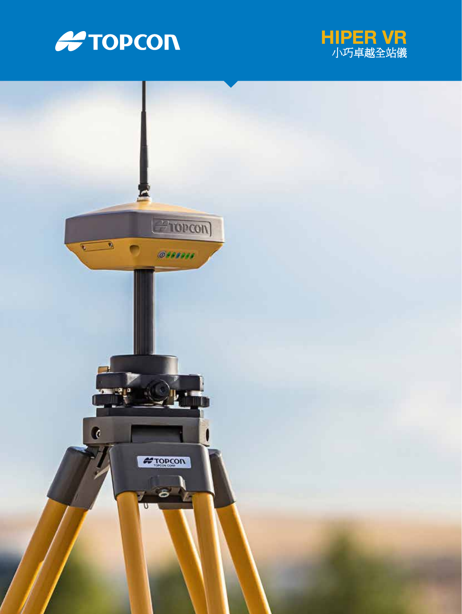



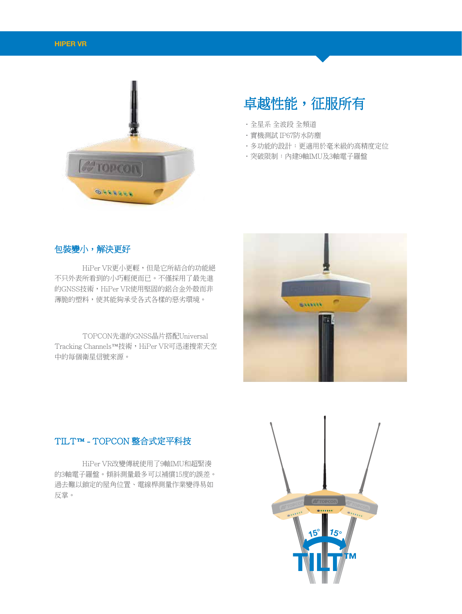

# 卓越性能,征服所有

- •全星系 全波段 全頻道
- •實機測試 IP67防水防塵
- •多功能的設計:更適用於毫米級的高精度定位
- •突破限制:內建9軸IMU及3軸電子羅盤

## 包裝變小,解決更好

HiPer VR更小更輕,但是它所結合的功能絕 不只外表所看到的小巧輕便而已。不僅採用了最先進 的GNSS技術,HiPer VR使用堅固的鋁合金外殼而非 薄脆的塑料,使其能夠承受各式各樣的惡劣環境。

TOPCON先進的GNSS晶片搭配Universal Tracking Channels™技術,HiPer VR可迅速搜索天空 中的每個衛星信號來源。



## TILT™ - TOPCON 整合式定平科技

HiPer VR改變傳統使用了9軸IMU和超緊湊 的3軸電子羅盤。傾斜測量最多可以補償15度的誤差。 過去難以鎖定的屋角位置、電線桿測量作業變得易如 反掌。

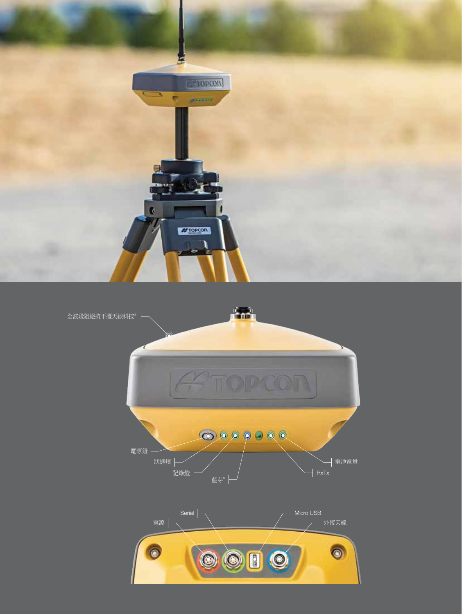